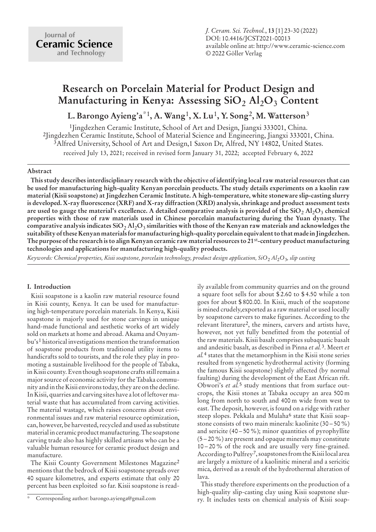*J. Ceram. Sci. Technol.*, **13** [1] 23-30 (2022) DOI: 10.4416/JCST2021-00013 available online at: http://www.ceramic-science.com © 2022 Göller Verlag

# **Research on Porcelain Material for Product Design and Manufacturing in Kenya: Assessing SiO**<sup>2</sup> **Al**2**O**<sup>3</sup> **Content**

## **L. Barongo Ayieng'a**\*1**, A. Wang**1**, X. Lu**1**, Y. Song**2**, M. Watterson**3

1Jingdezhen Ceramic Institute, School of Art and Design, Jiangxi 333001, China. 2Jingdezhen Ceramic Institute, School of Material Science and Engineering, Jiangxi 333001, China. 3Alfred University, School of Art and Design,1 Saxon Dr, Alfred, NY 14802, United States. received July 13, 2021; received in revised form January 31, 2022; accepted February 6, 2022

### **Abstract**

**This study describes interdisciplinary research with the objective of identifying local raw material resources that can be used for manufacturing high-quality Kenyan porcelain products. The study details experiments on a kaolin raw material (Kisii soapstone) at Jingdezhen Ceramic Institute. A high-temperature, white stoneware slip-casting slurry is developed. X-ray fluorescence (XRF) and X-ray diffraction (XRD) analysis, shrinkage and product assessment tests are used to gauge the material's excellence. A detailed comparative analysis is provided of the SiO**<sup>2</sup> **Al**2**O**<sup>3</sup> **chemical properties with those of raw materials used in Chinese porcelain manufacturing during the Yuan dynasty. The comparative analysis indicates SiO**<sup>2</sup> **Al**2**O**<sup>3</sup> **similarities with those of the Kenyan raw materials and acknowledges the suitability of these Kenyan materials for manufacturing high-quality porcelain equivalent to that made in Jingdezhen. The purpose of the research is to align Kenyan ceramic raw material resources to 21**st**-century product manufacturing technologies and applications for manufacturing high-quality products.**

*Keywords: Chemical properties, Kisii soapstone, porcelain technology, product design application, SiO*<sup>2</sup> *Al*2*O*3*, slip casting*

#### **I. Introduction**

Kisii soapstone is a kaolin raw material resource found in Kisii county, Kenya. It can be used for manufacturing high-temperature porcelain materials. In Kenya, Kisii soapstone is majorly used for stone carvings in unique hand-made functional and aesthetic works of art widely sold on markets at home and abroad. Akama and Onyambu's1 historical investigations mention the transformation of soapstone products from traditional utility items to handicrafts sold to tourists, and the role they play in promoting a sustainable livelihood for the people of Tabaka, in Kisii county. Even though soapstone crafts still remain a major source of economic activity for the Tabaka community and in the Kisii environs today, they are on the decline. In Kisii, quarries and carving sites have a lot of leftover material waste that has accumulated from carving activities. The material wastage, which raises concerns about environmental issues and raw material resource optimization, can, however, be harvested, recycled and used as substitute material in ceramic product manufacturing. The soapstone carving trade also has highly skilled artisans who can be a valuable human resource for ceramic product design and manufacture.

The Kisii County Government Milestones Magazine2 mentions that the bedrock of Kisii soapstone spreads over 40 square kilometres, and experts estimate that only 20 percent has been exploited so far. Kisii soapstone is readily available from community quarries and on the ground a square foot sells for about \$ 2.60 to \$ 4.50 while a ton goes for about \$ 800.00. In Kisii, much of the soapstone is mined crudely,exported as a raw material or used locally by soapstone carvers to make figurines. According to the relevant literature2, the miners, carvers and artists have, however, not yet fully benefitted from the potential of the raw materials. Kisii basalt comprises subaquatic basalt and andesitic basalt, as described in Pinna *et al.*3. Meert *et al.*4 states that the metamorphism in the Kisii stone series resulted from syngenetic hydrothermal activity (forming the famous Kisii soapstone) slightly affected (by normal faulting) during the development of the East African rift. Obwori's *et al.*5 study mentions that from surface outcrops, the Kisii stones at Tabaka occupy an area 500 m long from north to south and 400 m wide from west to east. The deposit, however, is found on a ridge with rather steep slopes. Pekkala and Mulaha<sup>6</sup> state that Kisii soapstone consists of two main minerals: kaolinite (30 – 50 %) and sericite (40 – 50 %); minor quantities of pyrophyllite (5 – 20 %) are present and opaque minerals may constitute 10 – 20 % of the rock and are usually very fine-grained. According to Pulfrey7, soapstones from the Kisii local area are largely a mixture of a kaolinitic mineral and a sericitic mica, derived as a result of the hydrothermal alteration of lava.

This study therefore experiments on the production of a high-quality slip-casting clay using Kisii soapstone slurry. It includes tests on chemical analysis of Kisii soap-

Corresponding author: barongo.ayienga@gmail.com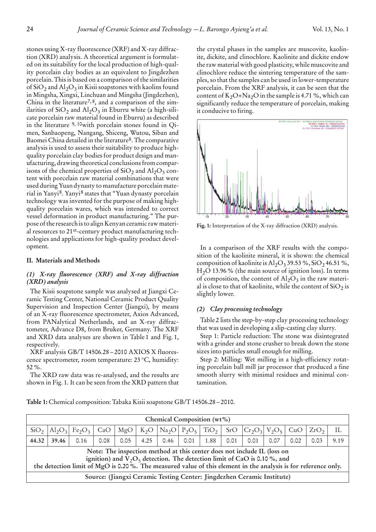stones using X-ray fluorescence (XRF) and X-ray diffraction (XRD) analysis. A theoretical argument is formulated on its suitability for the local production of high-quality porcelain clay bodies as an equivalent to Jingdezhen porcelain. This is based on a comparison of the similarities of  $SiO<sub>2</sub>$  and  $Al<sub>2</sub>O<sub>3</sub>$  in Kisii soapstones with kaolins found in Mingsha, Xingxi, Linchuan and Mingsha (Jingdezhen), China in the literature<sup>7, 8</sup>, and a comparison of the similarities of  $SiO_2$  and  $Al_2O_3$  in Eburru white (a high-silicate porcelain raw material found in Eburru) as described in the literature 9, 10with porcelain stones found in Qimen, Sanbaopeng, Nangang, Shiceng, Wutou, Siban and Baomei China detailed in the literature8. The comparative analysis is used to assess their suitability to produce highquality porcelain clay bodies for product design and manufacturing, drawing theoretical conclusions from comparisons of the chemical properties of  $SiO<sub>2</sub>$  and  $Al<sub>2</sub>O<sub>3</sub>$  content with porcelain raw material combinations that were used during Yuan dynasty to manufacture porcelain material in Yanyi8. Yanyi8 states that "Yuan dynasty porcelain technology was invented for the purpose of making highquality porcelain wares, which was intended to correct vessel deformation in product manufacturing." The purpose of the research is to align Kenyan ceramic raw material resources to 21st-century product manufacturing technologies and applications for high-quality product development.

#### **II. Materials and Methods**

### *(1) X-ray fluorescence (XRF) and X-ray diffraction (XRD) analysis*

The Kisii soapstone sample was analysed at Jiangxi Ceramic Testing Center, National Ceramic Product Quality Supervision and Inspection Center (Jiangxi), by means of an X-ray fluorescence spectrometer, Axios Advanced, from PANalytical Netherlands, and an X-ray diffractometer, Advance D8, from Bruker, Germany. The XRF and XRD data analyses are shown in Table 1 and Fig. 1, respectively.

XRF analysis GB/T 14506.28 – 2010 AXIOS X fluorescence spectrometer, room temperature: 23 °C, humidity: 52 %.

The XRD raw data was re-analysed, and the results are shown in Fig. 1. It can be seen from the XRD pattern that the crystal phases in the samples are muscovite, kaolinite, dickite, and clinochlore. Kaolinite and dickite endow the raw material with good plasticity, while muscovite and clinochlore reduce the sintering temperature of the samples, so that the samples can be used in lower-temperature porcelain. From the XRF analysis, it can be seen that the content of  $K_2O+Na_2O$  in the sample is 4.71 %, which can significantly reduce the temperature of porcelain, making it conducive to firing.



**Fig. 1:** Interpretation of the X-ray diffraction (XRD) analysis.

In a comparison of the XRF results with the composition of the kaolinite mineral, it is shown: the chemical composition of kaolinite is  $\text{Al}_2\text{O}_3$  39.53 %, SiO<sub>2</sub> 46.51 %,  $H<sub>2</sub>O$  13.96 % (the main source of ignition loss). In terms of composition, the content of  $Al_2O_3$  in the raw material is close to that of kaolinite, while the content of  $SiO<sub>2</sub>$  is slightly lower.

## *(2) Clay processing technology*

Table 2 lists the step-by-step clay processing technology that was used in developing a slip-casting clay slurry.

Step 1: Particle reduction: The stone was disintegrated with a grinder and stone crusher to break down the stone sizes into particles small enough for milling.

Step 2: Milling: Wet milling in a high-efficiency rotating porcelain ball mill jar processor that produced a fine smooth slurry with minimal residues and minimal contamination.

**Table 1:** Chemical composition: Tabaka Kisii soapstone GB/T 14506.28 – 2010.

| Chemical Composition (wt%)                                                                                                                                                                                                                                              |                                                                                                                                                                                                                               |      |      |      |      |      |      |      |      |      |      |      |      |      |
|-------------------------------------------------------------------------------------------------------------------------------------------------------------------------------------------------------------------------------------------------------------------------|-------------------------------------------------------------------------------------------------------------------------------------------------------------------------------------------------------------------------------|------|------|------|------|------|------|------|------|------|------|------|------|------|
| SiO <sub>2</sub>                                                                                                                                                                                                                                                        | $K_2O$   Na <sub>2</sub> O   P <sub>2</sub> O <sub>5</sub>  <br>TiO <sub>2</sub><br>SrO<br>$Cr_2O_3$ $V_2O_5$ $CuO$ $\vert$<br>MgO<br>ZrO <sub>2</sub><br>$\text{Al}_2\text{O}_3$ Fe <sub>2</sub> O <sub>3</sub><br>CaO<br>IL |      |      |      |      |      |      |      |      |      |      |      |      |      |
| 44.32                                                                                                                                                                                                                                                                   | 39.46                                                                                                                                                                                                                         | 0.16 | 0.08 | 0.05 | 4.25 | 0.46 | 0.01 | 1.88 | 0.01 | 0.01 | 0.07 | 0.02 | 0.03 | 9.19 |
| Note: The inspection method at this center does not include IL (loss on<br>ignition) and $V_2O_5$ detection. The detection limit of CaO is 0.10%, and<br>the detection limit of MgO is 0.20%. The measured value of this element in the analysis is for reference only. |                                                                                                                                                                                                                               |      |      |      |      |      |      |      |      |      |      |      |      |      |
| Source: (Jiangxi Ceramic Testing Center: Jingdezhen Ceramic Institute)                                                                                                                                                                                                  |                                                                                                                                                                                                                               |      |      |      |      |      |      |      |      |      |      |      |      |      |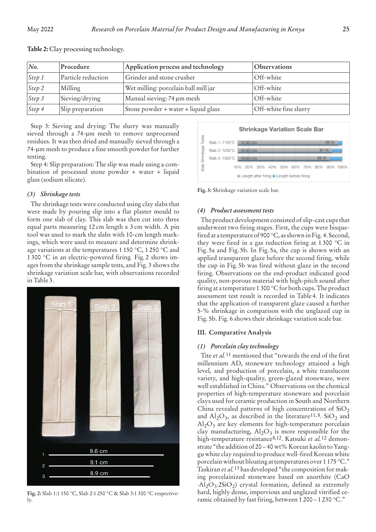| No.             | Procedure          | Application process and technology   | Observations          |
|-----------------|--------------------|--------------------------------------|-----------------------|
| $S$ tep 1       | Particle reduction | Grinder and stone crusher            | Off-white             |
| Step 2          | Milling            | Wet milling: porcelain ball mill jar | Off-white             |
| $\sqrt{Step 3}$ | Sieving/drying     | Manual sieving: 74 µm mesh           | Off-white             |
| $S$ tep 4       | Slip preparation   | Stone powder + water + liquid glass  | Off-white fine slurry |

**Table 2:** Clay processing technology.

Step 3: Sieving and drying: The slurry was manually sieved through a 74-um mesh to remove unprocessed residues. It was then dried and manually sieved through a 74-lm mesh to produce a fine smooth powder for further testing.

Step 4: Slip preparation: The slip was made using a combination of processed stone powder + water + liquid glass (sodium silicate).

## *(3) Shrinkage tests*

The shrinkage tests were conducted using clay slabs that were made by pouring slip into a flat plaster mould to form one slab of clay. This slab was then cut into three equal parts measuring 12 cm length x 3 cm width. A pin tool was used to mark the slabs with 10-cm length markings, which were used to measure and determine shrinkage variations at the temperatures 1 150 °C, 1 250 °C and 1 300 °C in an electric-powered firing*.* Fig. 2 shows images from the shrinkage sample tests, and Fig. 3 shows the shrinkage variation scale bar, with observations recorded in Table 3.



**Fig. 2:** Slab 1:1 150 °C, Slab 2:1 250 °C & Slab 3:1 300 °C respectively.





## *(4) Product assessment tests*

The product development consisted of slip-cast cups that underwent two firing stages. First, the cups were bisquefired at a temperature of 900 °C, as shown in Fig. 4. Second, they were fired in a gas reduction firing at 1300  $\degree$ C in Fig. 5a and Fig. 5b. In Fig. 5a, the cup is shown with an applied transparent glaze before the second firing, while the cup in Fig. 5b was fired without glaze in the second firing. Observations on the end-product indicated good quality, non-porous material with high-pitch sound after firing at a temperature 1 300 °C for both cups. The product assessment test result is recorded in Table 4. It indicates that the application of transparent glaze caused a further 5-% shrinkage in comparison with the unglazed cup in Fig. 5b. Fig. 6 shows their shrinkage variation scale bar.

## **III. Comparative Analysis**

## *(1) Porcelain clay technology*

Tite *et al.*11 mentioned that "towards the end of the first millennium AD, stoneware technology attained a high level, and production of porcelain, a white translucent variety, and high-quality, green-glazed stoneware, were well established in China." Observations on the chemical properties of high-temperature stoneware and porcelain clays used for ceramic production in South and Northern China revealed patterns of high concentrations of  $SiO<sub>2</sub>$ and  $\text{Al}_2\text{O}_3$ , as described in the literature<sup>11,8</sup>. SiO<sub>2</sub> and  $\text{Al}_2\text{O}_3$  are key elements for high-temperature porcelain clay manufacturing,  $\text{Al}_2\text{O}_3$  is more responsible for the high-temperature resistance8,12. Katsuki *et al.*12 demonstrate "the addition of 20 – 40 wt% Korean kaolin to Yanggu white clay required to produce well-fired Korean white porcelain without bloating at temperatures over 1 175 °C." Taskiran *et al.*13 has developed "the composition for making porcelainized stoneware based on anorthite (CaO  $\cdot$ Al<sub>2</sub>O<sub>3</sub> $\cdot$ 2SiO<sub>2</sub>) crystal formation, defined as extremely hard, highly dense, impervious and unglazed vitrified ceramic obtained by fast firing, between 1 200 – 1 230 °C."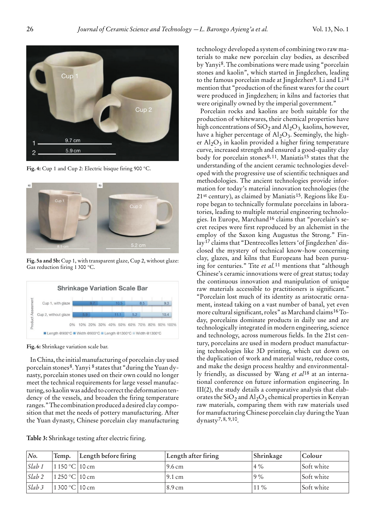

**Fig. 4:** Cup 1 and Cup 2: Electric bisque firing 900 °C.



**Fig. 5a and 5b:** Cup 1, with transparent glaze, Cup 2, without glaze: Gas reduction firing 1 300 °C.



**Fig. 6:** Shrinkage variation scale bar.

In China, the initial manufacturing of porcelain clay used porcelain stones8. Yanyi 8 states that "during the Yuan dynasty, porcelain stones used on their own could no longer meet the technical requirements for large vessel manufacturing, so kaolin was added to correct the deformation tendency of the vessels, and broaden the firing temperature ranges." The combination produced a desired clay composition that met the needs of pottery manufacturing. After the Yuan dynasty, Chinese porcelain clay manufacturing

| No.                           | 'Temp.                   | Length before firing | Length after firing | Shrinkage | Colour     |
|-------------------------------|--------------------------|----------------------|---------------------|-----------|------------|
| Slab 1                        | $1150^{\circ}$ C   10 cm |                      | 19.6 cm             | $4\%$     | Soft white |
| $ Slab 2 $ $ 1 250 °C  10 cm$ |                          |                      | $9.1 \text{ cm}$    | 19%       | Soft white |

*Slab 3* 1 300 °C 10 cm 11 % 8.9 cm 11 % Soft white

**Table 3:** Shrinkage testing after electric firing.

technology developed a system of combining two raw materials to make new porcelain clay bodies, as described by Yanyi8. The combinations were made using "porcelain stones and kaolin", which started in Jingdezhen, leading to the famous porcelain made at Jingdezhen<sup>8</sup>. Li and Li<sup>14</sup> mention that "production of the finest wares for the court were produced in Jingdezhen; in kilns and factories that were originally owned by the imperial government."

Porcelain rocks and kaolins are both suitable for the production of whitewares, their chemical properties have high concentrations of  $SiO<sub>2</sub>$  and  $Al<sub>2</sub>O<sub>3</sub>$ , kaolins, however, have a higher percentage of  $\text{Al}_2\text{O}_3$ . Seemingly, the higher  $Al_2O_3$  in kaolin provided a higher firing temperature curve, increased strength and ensured a good-quality clay body for porcelain stones<sup>8, 11</sup>. Maniatis<sup>15</sup> states that the understanding of the ancient ceramic technologies developed with the progressive use of scientific techniques and methodologies. The ancient technologies provide information for today's material innovation technologies (the 21st century), as claimed by Maniatis15. Regions like Europe began to technically formulate porcelains in laboratories, leading to multiple material engineering technologies. In Europe, Marchand16 claims that "porcelain's secret recipes were first reproduced by an alchemist in the employ of the Saxon king Augustus the Strong." Finlay17 claims that "Dentrecolles letters 'of Jingdezhen' disclosed the mystery of technical know-how concerning clay, glazes, and kilns that Europeans had been pursuing for centuries." Tite *et al.*11 mentions that "although Chinese's ceramic innovations were of great status; today the continuous innovation and manipulation of unique raw materials accessible to practitioners is significant." "Porcelain lost much of its identity as aristocratic ornament, instead taking on a vast number of banal, yet even more cultural significant, roles" as Marchand claims16 Today, porcelains dominate products in daily use and are technologically integrated in modern engineering, science and technology, across numerous fields. In the 21st century, porcelains are used in modern product manufacturing technologies like 3D printing, which cut down on the duplication of work and material waste, reduce costs, and make the design process healthy and environmentally friendly, as discussed by Wang *et al*18 at an international conference on future information engineering. In III(2), the study details a comparative analysis that elaborates the  $SiO_2$  and  $Al_2O_3$  chemical properties in Kenyan raw materials, comparing them with raw materials used for manufacturing Chinese porcelain clay during the Yuan dynasty7, 8, 9,10.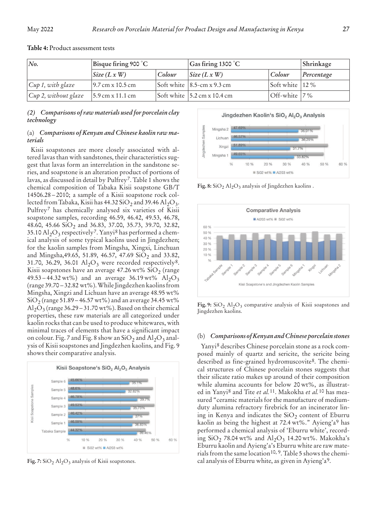| No.                                        | Bisque firing 900 $^{\circ}$ C             |        | $\vert$ Gas firing 1300 $\degree$ C        | Shrinkage          |            |
|--------------------------------------------|--------------------------------------------|--------|--------------------------------------------|--------------------|------------|
|                                            | $\left  \text{Size } (L \times W) \right $ | Colour | $\left  \text{Size } (L \times W) \right $ | <i>Colour</i>      | Percentage |
| Cup 1, with glaze                          | $9.7 \text{ cm} \times 10.5 \text{ cm}$    |        | Soft white $ 8.5$ -cm x 9.3 cm             | Soft white $ 12\%$ |            |
| $ Cup 2, without glaze   5.9 cm x 11.1 cm$ |                                            |        | Soft white $\vert$ 5.2 cm x 10.4 cm        | Off-white $ 7\%$   |            |

#### **Table 4:** Product assessment tests

*(2) Comparisons of raw materials used for porcelain clay technology*

#### (a) *Comparisons of Kenyan and Chinese kaolin raw materials*

Kisii soapstones are more closely associated with altered lavas than with sandstones, their characteristics suggest that lavas form an interrelation in the sandstone series, and soapstone is an alteration product of portions of lavas, as discussed in detail by Pulfrey7. Table 1 shows the chemical composition of Tabaka Kisii soapstone GB/T 14506.28 – 2010; a sample of a Kisii soapstone rock collected from Tabaka, Kisii has  $44.32 \text{SiO}_2$  and  $39.46 \text{ Al}_2\text{O}_3$ . Pulfrey7 has chemically analysed six varieties of Kisii soapstone samples, recording 46.59, 46.42, 49.53, 46.78, 48.60, 45.66 SiO<sub>2</sub> and 36.83, 37.00, 35.73, 39.70, 32.82, 35.10  $\mathrm{Al}_2\mathrm{O}_3$  respectively<sup>7</sup>. Yanyi<sup>8</sup> has performed a chemical analysis of some typical kaolins used in Jingdezhen; for the kaolin samples from Mingsha, Xingxi, Linchuan and Mingsha, 49.65, 51.89, 46.57, 47.69 SiO<sub>2</sub> and 33.82, 31.70, 36.29, 36.01  $\mathrm{Al}_2\mathrm{O}_3$  were recorded respectively<sup>8</sup>. Kisii soapstones have an average 47.26 wt%  $SiO_2$  (range 49.53 – 44.32 wt%) and an average 36.19 wt% Al<sub>2</sub>O<sub>3</sub> (range 39.70 – 32.82 wt%). While Jingdezhen kaolins from Mingsha, Xingzi and Lichuan have an average 48.95 wt%  $SiO<sub>2</sub>$  (range 51.89 – 46.57 wt%) and an average 34.45 wt% Al<sub>2</sub>O<sub>3</sub> (range 36.29 – 31.70 wt%). Based on their chemical properties, these raw materials are all categorized under kaolin rocks that can be used to produce whitewares, with minimal traces of elements that have a significant impact on colour. Fig. 7 and Fig. 8 show an  $SiO<sub>2</sub>$  and  $Al<sub>2</sub>O<sub>3</sub>$  analysis of Kisii soapstones and Jingdezhen kaolins, and Fig. 9 shows their comparative analysis.



**Fig. 7:** SiO<sub>2</sub> Al<sub>2</sub>O<sub>3</sub> analysis of Kisii soapstones.

Jingdezhen Kaolin's SiO<sub>2</sub> Al<sub>2</sub>O<sub>3</sub> Analysis



**Fig. 8:**  $SiO<sub>2</sub> Al<sub>2</sub>O<sub>3</sub>$  analysis of Jingdezhen kaolins .



Fig. 9: SiO<sub>2</sub> Al<sub>2</sub>O<sub>3</sub> comparative analysis of Kisii soapstones and Jingdezhen kaolins.

#### (b) *Comparisons of Kenyan and Chinese porcelain stones*

Yanyi8 describes Chinese porcelain stone as a rock composed mainly of quartz and sericite, the sericite being described as fine-grained hydromuscovite8. The chemical structures of Chinese porcelain stones suggests that their silicate ratio makes up around of their composition while alumina accounts for below 20 wt%, as illustrated in Yanyi8 and Tite *et al.*11. Makokha *et al.*10 has measured "ceramic materials for the manufacture of mediumduty alumina refractory firebrick for an incinerator lining in Kenya and indicates the  $SiO<sub>2</sub>$  content of Eburru kaolin as being the highest at 72.4 wt%." Ayieng'a9 has performed a chemical analysis of 'Eburru white', recording  $SiO_2$  78.04 wt% and  $Al_2O_3$  14.20 wt%. Makokha's Eburru kaolin and Ayieng'a's Eburru white are raw materials from the same location10, 9. Table 5 shows the chemical analysis of Eburru white, as given in Ayieng'a9.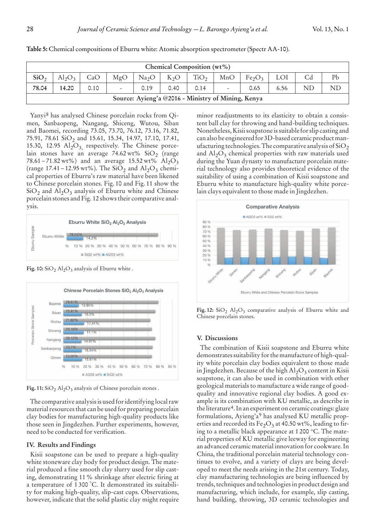| Chemical Composition (wt%)                         |                                                                                                                                       |      |  |      |      |      |                          |      |      |    |    |
|----------------------------------------------------|---------------------------------------------------------------------------------------------------------------------------------------|------|--|------|------|------|--------------------------|------|------|----|----|
| SiO <sub>2</sub>                                   | P <sub>b</sub><br>$Al_2O_3$<br>TiO <sub>2</sub><br>CaO<br>MgO<br>MnO<br>Fe <sub>2</sub> O <sub>3</sub><br>Na <sub>2</sub> O<br>$K_2O$ |      |  |      |      |      |                          |      |      |    |    |
| 78.04                                              | 14.20                                                                                                                                 | 0.10 |  | 0.19 | 0.40 | 0.14 | $\overline{\phantom{a}}$ | 0.65 | 6.56 | ND | ND |
| Source: Ayieng'a @2016 - Ministry of Mining, Kenya |                                                                                                                                       |      |  |      |      |      |                          |      |      |    |    |

**Table 5:** Chemical compositions of Eburru white: Atomic absorption spectrometer (Spectr AA-10).

Yanyi8 has analysed Chinese porcelain rocks from Qimen, Sanbaopeng, Nangang, Shiceng, Wutou, Siban and Baomei, recording 73.05, 73.70, 76.12, 73.16, 71.82, 75.91, 78.61  $SiO<sub>2</sub>$  and 15.61, 15.34, 14.97, 17.10, 17.41, 15.30, 12.95  $\mathrm{Al}_2\mathrm{O}_3$  respectively. The Chinese porcelain stones have an average  $74.62 \text{ wt}$ % SiO<sub>2</sub> (range 78.61 – 71.82 wt%) and an average 15.52 wt%  $\text{Al}_2\text{O}_3$ (range  $17.41 - 12.95 \,\text{wt\%}$ ). The SiO<sub>2</sub> and Al<sub>2</sub>O<sub>3</sub> chemical properties of Eburru's raw material have been likened to Chinese porcelain stones. Fig. 10 and Fig. 11 show the  $SiO<sub>2</sub>$  and Al<sub>2</sub>O<sub>3</sub> analysis of Eburru white and Chinese porcelain stones and Fig. 12 shows their comparative analysis.



Fig. 10: SiO<sub>2</sub> Al<sub>2</sub>O<sub>3</sub> analysis of Eburru white .



Fig. 11: SiO<sub>2</sub> Al<sub>2</sub>O<sub>3</sub> analysis of Chinese porcelain stones.

The comparative analysis is used for identifying local raw material resources that can be used for preparing porcelain clay bodies for manufacturing high-quality products like those seen in Jingdezhen. Further experiments, however, need to be conducted for verification.

## **IV. Results and Findings**

Kisii soapstone can be used to prepare a high-quality white stoneware clay body for product design. The material produced a fine smooth clay slurry used for slip casting, demonstrating 11 % shrinkage after electric firing at a temperature of 1 300 °C. It demonstrated its suitability for making high-quality, slip-cast cups. Observations, however, indicate that the solid plastic clay might require minor readjustments to its elasticity to obtain a consistent ball clay for throwing and hand-building techniques. Nonetheless, Kisii soapstone is suitable for slip casting and can also be engineered for 3D-based ceramic product manufacturing technologies. The comparative analysis of  $SiO<sub>2</sub>$ and  $\text{Al}_2\text{O}_3$  chemical properties with raw materials used during the Yuan dynasty to manufacture porcelain material technology also provides theoretical evidence of the suitability of using a combination of Kisii soapstone and Eburru white to manufacture high-quality white porcelain clays equivalent to those made in Jingdezhen.



Fig. 12:  $SiO<sub>2</sub>$  Al<sub>2</sub>O<sub>3</sub> comparative analysis of Eburru white and Chinese porcelain stones.

#### **V. Discussions**

The combination of Kisii soapstone and Eburru white demonstrates suitability for the manufacture of high-quality white porcelain clay bodies equivalent to those made in Jingdezhen. Because of the high  $Al_2O_3$  content in Kisii soapstone, it can also be used in combination with other geological materials to manufacture a wide range of goodquality and innovative regional clay bodies. A good example is its combination with KU metallic, as describe in the literature<sup>4</sup>. In an experiment on ceramic coatings: glaze formulations, Ayieng'a9 has analysed KU metallic properties and recorded its  $Fe<sub>2</sub>O<sub>3</sub>$  at 40.50 wt%, leading to firing to a metallic black appearance at 1 200 °C. The material properties of KU metallic give leeway for engineering an advanced ceramic material innovation for cookware. In China, the traditional porcelain material technology continues to evolve, and a variety of clays are being developed to meet the needs arising in the 21st century. Today, clay manufacturing technologies are being influenced by trends, techniques and technologies in product design and manufacturing, which include, for example, slip casting, hand building, throwing, 3D ceramic technologies and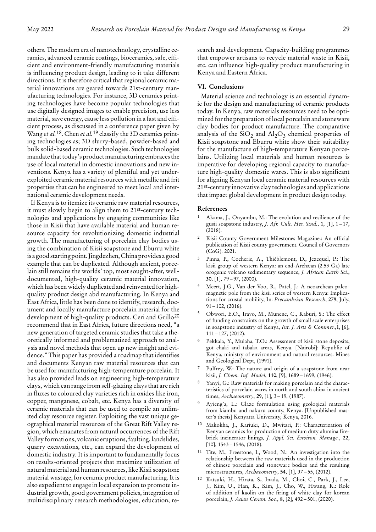others. The modern era of nanotechnology, crystalline ceramics, advanced ceramic coatings, bioceramics, safe, efficient and environment-friendly manufacturing materials is influencing product design, leading to it take different directions. It is therefore critical that regional ceramic material innovations are geared towards 21st-century manufacturing technologies. For instance, 3D ceramics printing technologies have become popular technologies that use digitally designed images to enable precision, use less material, save energy, cause less pollution in a fast and efficient process, as discussed in a conference paper given by Wang *et al.*18. Chen *et al.*19 classify the 3D ceramics printing technologies as; 3D slurry-based, powder-based and bulk solid-based ceramic technologies. Such technologies mandate that today's product manufacturing embraces the use of local material in domestic innovations and new inventions. Kenya has a variety of plentiful and yet underexploited ceramic material resources with metallic and frit properties that can be engineered to meet local and international ceramic development needs.

If Kenya is to itemize its ceramic raw material resources, it must slowly begin to align them to 21st-century technologies and applications by engaging communities like those in Kisii that have available material and human resource capacity for revolutionizing domestic industrial growth. The manufacturing of porcelain clay bodies using the combination of Kisii soapstone and Eburru white is a good starting point. Jingdezhen, China provides a good example that can be duplicated. Although ancient, porcelain still remains the worlds' top, most sought-after, welldocumented, high-quality ceramic material innovation, which has been widely duplicated and reinvented for highquality product design abd manufacturing. In Kenya and East Africa, little has been done to identify, research, document and locally manufacture porcelain material for the development of high-quality products. Ceri and Grillo<sup>20</sup> recommend that in East Africa, future directions need, "a new generation of targeted ceramic studies that take a theoretically informed and problematized approach to analysis and novel methods that open up new insight and evidence." This paper has provided a roadmap that identifies and documents Kenyan raw material resources that can be used for manufacturing high-temperature porcelain. It has also provided leads on engineering high-temperature clays, which can range from self-glazing clays that are rich in fluxes to coloured clay varieties rich in oxides like iron, copper, manganese, cobalt, etc. Kenya has a diversity of ceramic materials that can be used to compile an unlimited clay resource register. Exploiting the vast unique geographical material resources of the Great Rift Valley region, which emanates from natural occurrences of the Rift Valley formations, volcanic eruptions, faulting, landslides, quarry excavations, etc., can expand the development of domestic industry. It is important to fundamentally focus on results-oriented projects that maximize utilization of natural material and human resources, like Kisii soapstone material wastage, for ceramic product manufacturing. It is also expedient to engage in local expansion to promote industrial growth, good government policies, integration of multidisciplinary research methodologies, education, research and development. Capacity-building programmes that empower artisans to recycle material waste in Kisii, etc. can influence high-quality product manufacturing in Kenya and Eastern Africa.

#### **VI. Conclusions**

Material science and technology is an essential dynamic for the design and manufacturing of ceramic products today. In Kenya, raw materials resources need to be optimized for the preparation of local porcelain and stoneware clay bodies for product manufacture. The comparative analysis of the  $SiO<sub>2</sub>$  and  $Al<sub>2</sub>O<sub>3</sub>$  chemical properties of Kisii soapstone and Eburru white show their suitability for the manufacture of high-temperature Kenyan porcelains. Utilizing local materials and human resources is imperative for developing regional capacity to manufacture high-quality domestic wares. This is also significant for aligning Kenyan local ceramic material resources with 21st-century innovative clay technologies and applications that impact global development in product design today.

#### **References**

- Akama, J., Onyambu, M.: The evolution and resilience of the gusii soapstone industry, *J. Afr. Cult. Her. Stud.*, **1**, [1], 1 – 17, (2018).
- Kisii County Government Milestones Magazine.: An official publication of Kisii county government. Council of Governors (CoG). 2021.
- Pinna, P., Cocherie, A., Thiéblemont, D., Jezequel, P.: The kisii group of western Kenya: an end-Archæan (2.53 Ga) late orogenic volcano sedimentary sequence, *J. African Earth Sci.*, **30**, [1], 79 – 97, (2000).
- 4 Meert, J.G., Van der Voo, R., Patel, J.: A neoarchean paleomagnetic pole from the kisii series of western Kenya: Implications for crustal mobility, In: *Precambrian Research*, **279**, July,  $91 - 102$ , (2016).
- 5 Obwori, E.O., Iravo, M., Munene, C., Kaburi, S.: The effect of funding constraints on the growth of small scale enterprises in soapstone industry of Kenya, *Int. J. Arts & Commer.*,**1**, [6], 111 – 127, (2012).
- 6 Pekkala, Y., Mulaha, T.O.: Assessment of kisii stone deposits, got chaki and tabaka areas, Kenya. [Nairobi]: Republic of Kenya, ministry of environment and natural resources. Mines and Geological Dept, (1991).
- Pulfrey, W.: The nature and origin of a soapstone from near kisii, *J. Chem. Inf. Model*, **110**, [9], 1689 – 1699, (1946).
- Yanyi, G.: Raw materials for making porcelain and the characteristics of porcelain wares in north and south china in ancient times, *Archaeometry*, **29**, [1], 3 – 19, (1987).
- Ayieng'a, L.: Glaze formulation using geological materials from kiambu and nakuru county, Kenya. [Unpublished master's thesis] Kenyatta University, Kenya, 2016.
- 10 Makokha, J., Kariuki, D., Mwitari, P.: Characterization of Kenyan ceramics for production of medium duty alumina firebrick incinerator linings*, J. Appl. Sci. Environ. Manage.*, **22**,  $[10]$ ,  $1543 - 1546$ ,  $(2018)$ .
- 11 Tite, M., Freestone, I., Wood, N.: An investigation into the relationship between the raw materials used in the production of chinese porcelain and stoneware bodies and the resulting microstructures, *Archaeometry*, **54**, [1], 37 – 55, (2012).
- 12 Katsuki, H., Hirata, S., Inada, M., Choi, C., Park, J., Lee, J., Kim, U., Han, K., Kim, J., Cho, W., Hwang, K.: Role of addition of kaolin on the firing of white clay for korean porcelain, *J. Asian Ceram. Soc.*, **8**, [2], 492 – 501, (2020).